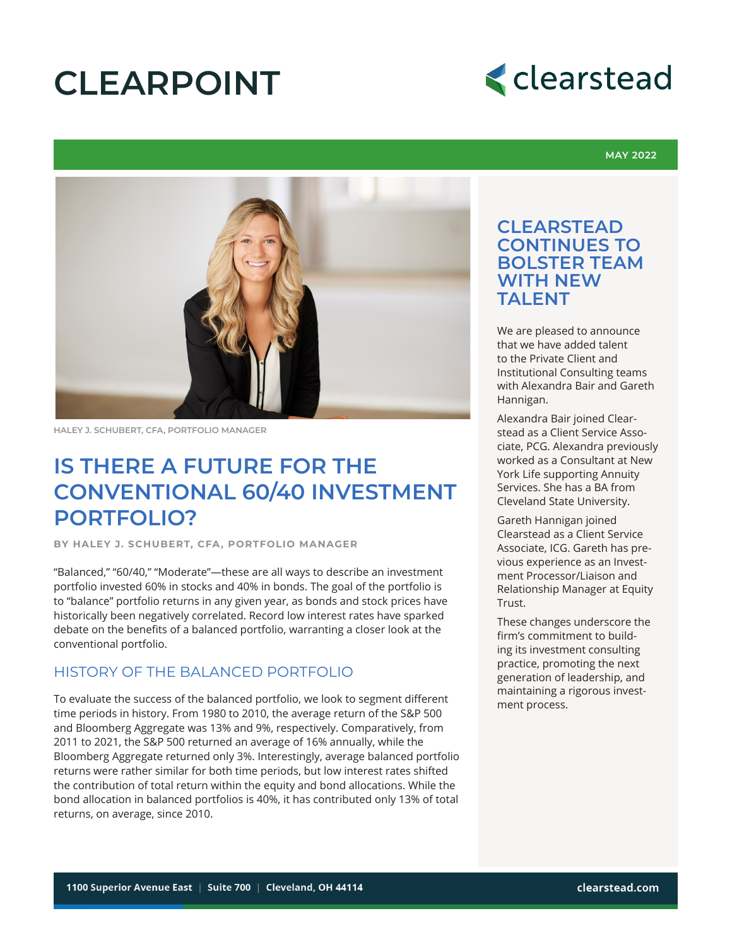# **CLEARPOINT**



#### **MAY 2022**



**HALEY J. SCHUBERT, CFA, PORTFOLIO MANAGER**

### **IS THERE A FUTURE FOR THE CONVENTIONAL 60/40 INVESTMENT PORTFOLIO?**

**BY HALEY J. SCHUBERT, CFA, PORTFOLIO MANAGER**

"Balanced," "60/40," "Moderate"—these are all ways to describe an investment portfolio invested 60% in stocks and 40% in bonds. The goal of the portfolio is to "balance" portfolio returns in any given year, as bonds and stock prices have historically been negatively correlated. Record low interest rates have sparked debate on the benefits of a balanced portfolio, warranting a closer look at the conventional portfolio.

#### HISTORY OF THE BALANCED PORTFOLIO

To evaluate the success of the balanced portfolio, we look to segment different time periods in history. From 1980 to 2010, the average return of the S&P 500 and Bloomberg Aggregate was 13% and 9%, respectively. Comparatively, from 2011 to 2021, the S&P 500 returned an average of 16% annually, while the Bloomberg Aggregate returned only 3%. Interestingly, average balanced portfolio returns were rather similar for both time periods, but low interest rates shifted the contribution of total return within the equity and bond allocations. While the bond allocation in balanced portfolios is 40%, it has contributed only 13% of total returns, on average, since 2010.

### **CLEARSTEAD CONTINUES TO BOLSTER TEAM WITH NEW TAI FNT**

We are pleased to announce that we have added talent to the Private Client and Institutional Consulting teams with Alexandra Bair and Gareth Hannigan.

Alexandra Bair joined Clearstead as a Client Service Associate, PCG. Alexandra previously worked as a Consultant at New York Life supporting Annuity Services. She has a BA from Cleveland State University.

Gareth Hannigan joined Clearstead as a Client Service Associate, ICG. Gareth has previous experience as an Investment Processor/Liaison and Relationship Manager at Equity Trust.

These changes underscore the firm's commitment to building its investment consulting practice, promoting the next generation of leadership, and maintaining a rigorous investment process.

1100 Superior Avenue East • Suite 700 • Cleveland, Ohio 44114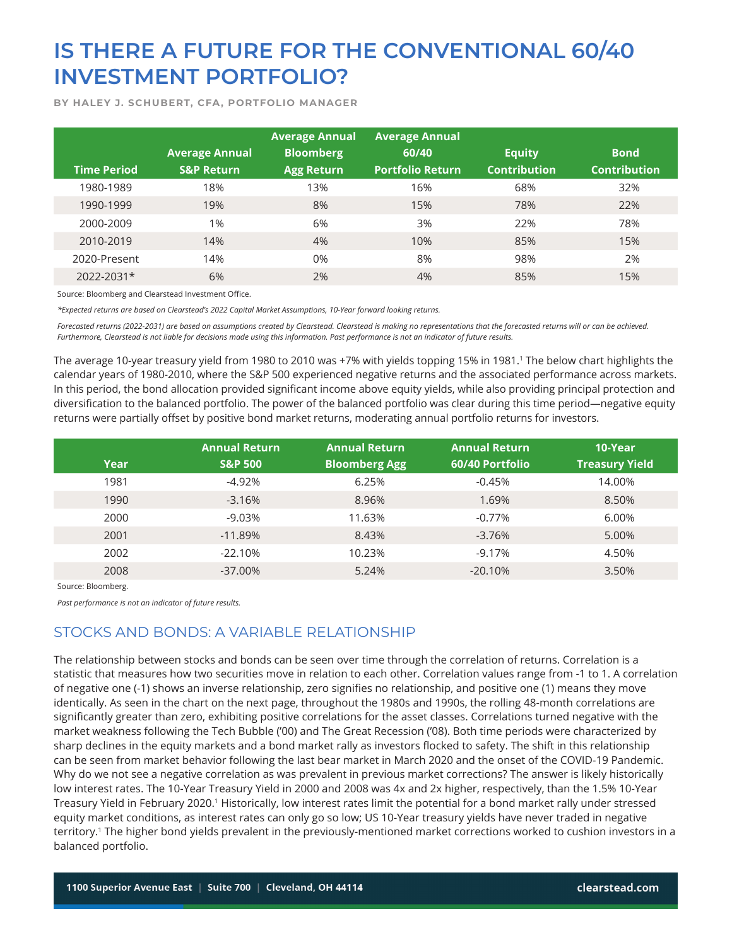**BY HALEY J. SCHUBERT, CFA, PORTFOLIO MANAGER**

| <b>Time Period</b> | <b>Average Annual</b><br><b>S&amp;P Return</b> | <b>Average Annual</b><br><b>Bloomberg</b><br><b>Agg Return</b> | <b>Average Annual</b><br>60/40<br><b>Portfolio Return</b> | <b>Equity</b><br><b>Contribution</b> | <b>Bond</b><br><b>Contribution</b> |
|--------------------|------------------------------------------------|----------------------------------------------------------------|-----------------------------------------------------------|--------------------------------------|------------------------------------|
| 1980-1989          | 18%                                            | 13%                                                            | 16%                                                       | 68%                                  | 32%                                |
| 1990-1999          | 19%                                            | 8%                                                             | 15%                                                       | 78%                                  | 22%                                |
| 2000-2009          | 1%                                             | 6%                                                             | 3%                                                        | 22%                                  | 78%                                |
| 2010-2019          | 14%                                            | 4%                                                             | 10%                                                       | 85%                                  | 15%                                |
| 2020-Present       | 14%                                            | $0\%$                                                          | 8%                                                        | 98%                                  | 2%                                 |
| 2022-2031*         | 6%                                             | 2%                                                             | 4%                                                        | 85%                                  | 15%                                |

Source: Bloomberg and Clearstead Investment Office.

*\*Expected returns are based on Clearstead's 2022 Capital Market Assumptions, 10-Year forward looking returns.*

*Forecasted returns (2022-2031) are based on assumptions created by Clearstead. Clearstead is making no representations that the forecasted returns will or can be achieved. Furthermore, Clearstead is not liable for decisions made using this information. Past performance is not an indicator of future results.*

The average 10-year treasury yield from 1980 to 2010 was +7% with yields topping 15% in 1981.' The below chart highlights the calendar years of 1980-2010, where the S&P 500 experienced negative returns and the associated performance across markets. In this period, the bond allocation provided significant income above equity yields, while also providing principal protection and diversification to the balanced portfolio. The power of the balanced portfolio was clear during this time period—negative equity returns were partially offset by positive bond market returns, moderating annual portfolio returns for investors.

|             | <b>Annual Return</b> | <b>Annual Return</b> | <b>Annual Return</b> | 10-Year               |
|-------------|----------------------|----------------------|----------------------|-----------------------|
| <b>Year</b> | <b>S&amp;P 500</b>   | <b>Bloomberg Agg</b> | 60/40 Portfolio      | <b>Treasury Yield</b> |
| 1981        | $-4.92%$             | 6.25%                | $-0.45%$             | 14.00%                |
| 1990        | $-3.16%$             | 8.96%                | 1.69%                | 8.50%                 |
| 2000        | $-9.03%$             | 11.63%               | $-0.77%$             | 6.00%                 |
| 2001        | $-11.89%$            | 8.43%                | $-3.76%$             | 5.00%                 |
| 2002        | $-22.10%$            | 10.23%               | $-9.17%$             | 4.50%                 |
| 2008        | $-37.00\%$           | 5.24%                | $-20.10%$            | 3.50%                 |

Source: Bloomberg.

*Past performance is not an indicator of future results.*

### STOCKS AND BONDS: A VARIABLE RELATIONSHIP

The relationship between stocks and bonds can be seen over time through the correlation of returns. Correlation is a statistic that measures how two securities move in relation to each other. Correlation values range from -1 to 1. A correlation of negative one (-1) shows an inverse relationship, zero signifies no relationship, and positive one (1) means they move identically. As seen in the chart on the next page, throughout the 1980s and 1990s, the rolling 48-month correlations are significantly greater than zero, exhibiting positive correlations for the asset classes. Correlations turned negative with the market weakness following the Tech Bubble ('00) and The Great Recession ('08). Both time periods were characterized by sharp declines in the equity markets and a bond market rally as investors flocked to safety. The shift in this relationship can be seen from market behavior following the last bear market in March 2020 and the onset of the COVID-19 Pandemic. Why do we not see a negative correlation as was prevalent in previous market corrections? The answer is likely historically low interest rates. The 10-Year Treasury Yield in 2000 and 2008 was 4x and 2x higher, respectively, than the 1.5% 10-Year Treasury Yield in February 2020.1 Historically, low interest rates limit the potential for a bond market rally under stressed equity market conditions, as interest rates can only go so low; US 10-Year treasury yields have never traded in negative territory.<sup>1</sup> The higher bond yields prevalent in the previously-mentioned market corrections worked to cushion investors in a balanced portfolio.

1100 Superior Avenue East • Suite 700 • Cleveland, Ohio 44114 clearstead.com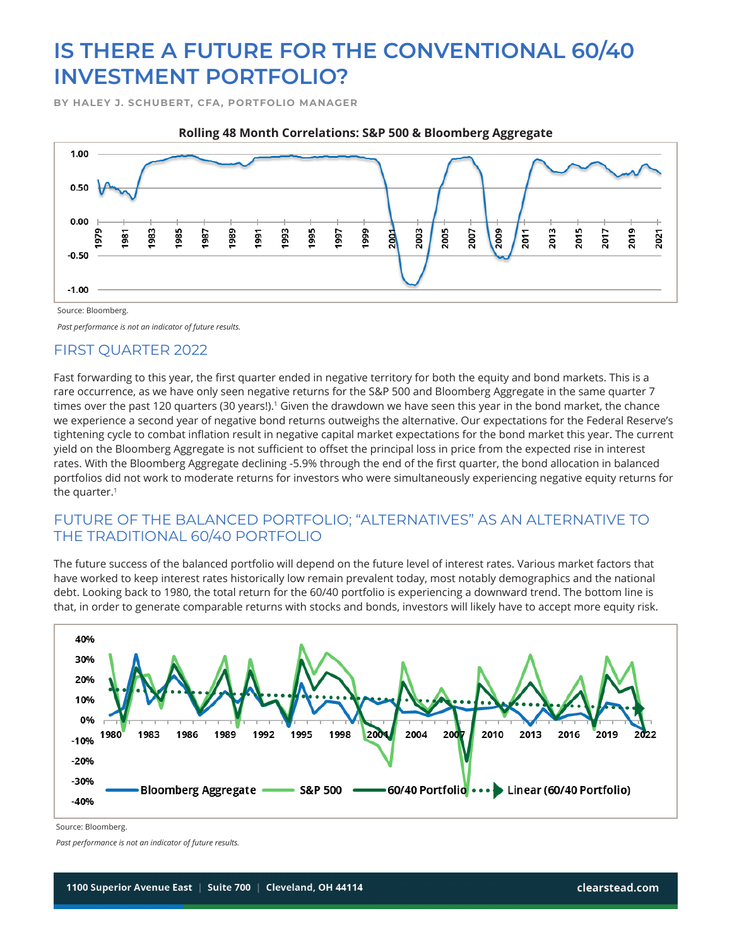**BY HALEY J. SCHUBERT, CFA, PORTFOLIO MANAGER**



Source: Bloomberg.

*Past performance is not an indicator of future results.*

### FIRST QUARTER 2022

Fast forwarding to this year, the first quarter ended in negative territory for both the equity and bond markets. This is a rare occurrence, as we have only seen negative returns for the S&P 500 and Bloomberg Aggregate in the same quarter 7 times over the past 120 quarters (30 years!).<sup>1</sup> Given the drawdown we have seen this year in the bond market, the chance we experience a second year of negative bond returns outweighs the alternative. Our expectations for the Federal Reserve's tightening cycle to combat inflation result in negative capital market expectations for the bond market this year. The current yield on the Bloomberg Aggregate is not sufficient to offset the principal loss in price from the expected rise in interest rates. With the Bloomberg Aggregate declining -5.9% through the end of the first quarter, the bond allocation in balanced portfolios did not work to moderate returns for investors who were simultaneously experiencing negative equity returns for the quarter.<sup>1</sup>

### FUTURE OF THE BALANCED PORTFOLIO; "ALTERNATIVES" AS AN ALTERNATIVE TO THE TRADITIONAL 60/40 PORTFOLIO

The future success of the balanced portfolio will depend on the future level of interest rates. Various market factors that have worked to keep interest rates historically low remain prevalent today, most notably demographics and the national debt. Looking back to 1980, the total return for the 60/40 portfolio is experiencing a downward trend. The bottom line is that, in order to generate comparable returns with stocks and bonds, investors will likely have to accept more equity risk.



1100 Superior Avenue East • Suite 700 • Cleveland, Ohio 44114 clearstead.com

Source: Bloomberg.

*Past performance is not an indicator of future results.*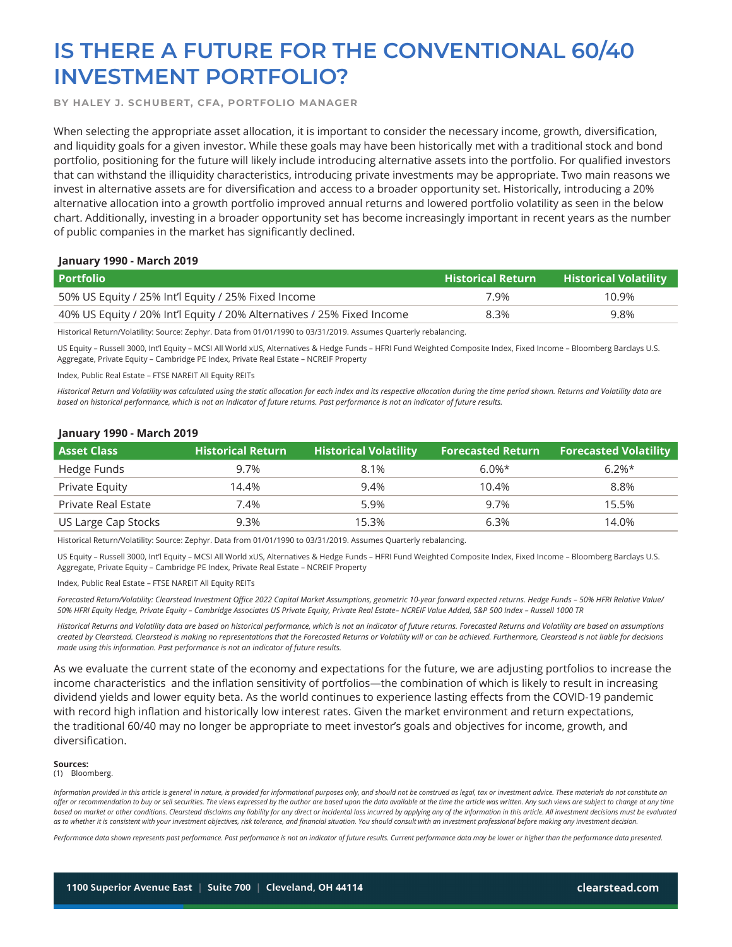**BY HALEY J. SCHUBERT, CFA, PORTFOLIO MANAGER**

When selecting the appropriate asset allocation, it is important to consider the necessary income, growth, diversification, and liquidity goals for a given investor. While these goals may have been historically met with a traditional stock and bond portfolio, positioning for the future will likely include introducing alternative assets into the portfolio. For qualified investors that can withstand the illiquidity characteristics, introducing private investments may be appropriate. Two main reasons we invest in alternative assets are for diversification and access to a broader opportunity set. Historically, introducing a 20% alternative allocation into a growth portfolio improved annual returns and lowered portfolio volatility as seen in the below chart. Additionally, investing in a broader opportunity set has become increasingly important in recent years as the number of public companies in the market has significantly declined.

#### **January 1990 - March 2019**

| <b>Portfolio</b>                                                       | <b>Historical Return</b> | Historical Volatility. |  |
|------------------------------------------------------------------------|--------------------------|------------------------|--|
| 50% US Equity / 25% Int'l Equity / 25% Fixed Income                    | 7.9%                     | 10.9%                  |  |
| 40% US Equity / 20% Int'l Equity / 20% Alternatives / 25% Fixed Income | 8.3%                     | 9.8%                   |  |

Historical Return/Volatility: Source: Zephyr. Data from 01/01/1990 to 03/31/2019. Assumes Quarterly rebalancing.

US Equity – Russell 3000, Int'l Equity – MCSI All World xUS, Alternatives & Hedge Funds – HFRI Fund Weighted Composite Index, Fixed Income – Bloomberg Barclays U.S. Aggregate, Private Equity – Cambridge PE Index, Private Real Estate – NCREIF Property

Index, Public Real Estate – FTSE NAREIT All Equity REITs

*Historical Return and Volatility was calculated using the static allocation for each index and its respective allocation during the time period shown. Returns and Volatility data are based on historical performance, which is not an indicator of future returns. Past performance is not an indicator of future results.*

#### **January 1990 - March 2019**

| <b>Asset Class</b>  | <b>Historical Return</b> | <b>Historical Volatility</b> | <b>Forecasted Return</b> ا | <b>Forecasted Volatility</b> |
|---------------------|--------------------------|------------------------------|----------------------------|------------------------------|
| Hedge Funds         | 9.7%                     | 8.1%                         | $6.0\%*$                   | $6.2\%*$                     |
| Private Equity      | 14.4%                    | 9.4%                         | 10.4%                      | 8.8%                         |
| Private Real Estate | 7.4%                     | 5.9%                         | 9.7%                       | 15.5%                        |
| US Large Cap Stocks | 9.3%                     | 15.3%                        | 6.3%                       | 14.0%                        |

Historical Return/Volatility: Source: Zephyr. Data from 01/01/1990 to 03/31/2019. Assumes Quarterly rebalancing.

US Equity – Russell 3000, Int'l Equity – MCSI All World xUS, Alternatives & Hedge Funds – HFRI Fund Weighted Composite Index, Fixed Income – Bloomberg Barclays U.S. Aggregate, Private Equity – Cambridge PE Index, Private Real Estate – NCREIF Property

Index, Public Real Estate – FTSE NAREIT All Equity REITs

*Forecasted Return/Volatility: Clearstead Investment Office 2022 Capital Market Assumptions, geometric 10-year forward expected returns. Hedge Funds – 50% HFRI Relative Value/ 50% HFRI Equity Hedge, Private Equity – Cambridge Associates US Private Equity, Private Real Estate– NCREIF Value Added, S&P 500 Index – Russell 1000 TR*

*Historical Returns and Volatility data are based on historical performance, which is not an indicator of future returns. Forecasted Returns and Volatility are based on assumptions created by Clearstead. Clearstead is making no representations that the Forecasted Returns or Volatility will or can be achieved. Furthermore, Clearstead is not liable for decisions made using this information. Past performance is not an indicator of future results.*

As we evaluate the current state of the economy and expectations for the future, we are adjusting portfolios to increase the income characteristics and the inflation sensitivity of portfolios—the combination of which is likely to result in increasing dividend yields and lower equity beta. As the world continues to experience lasting effects from the COVID-19 pandemic with record high inflation and historically low interest rates. Given the market environment and return expectations, the traditional 60/40 may no longer be appropriate to meet investor's goals and objectives for income, growth, and diversification.

#### **Sources:**

(1) Bloomberg.

Information provided in this article is general in nature, is provided for informational purposes only, and should not be construed as legal, tax or investment advice. These materials do not constitute an *offer or recommendation to buy or sell securities. The views expressed by the author are based upon the data available at the time the article was written. Any such views are subject to change at any time*  based on market or other conditions. Clearstead disclaims any liability for any direct or incidental loss incurred by applying any of the information in this article. All investment decisions must be evaluated *as to whether it is consistent with your investment objectives, risk tolerance, and financial situation. You should consult with an investment professional before making any investment decision.*

1100 Superior Avenue East • Suite 700 • Cleveland, Ohio 44114 clearstead.com

*Performance data shown represents past performance. Past performance is not an indicator of future results. Current performance data may be lower or higher than the performance data presented.*